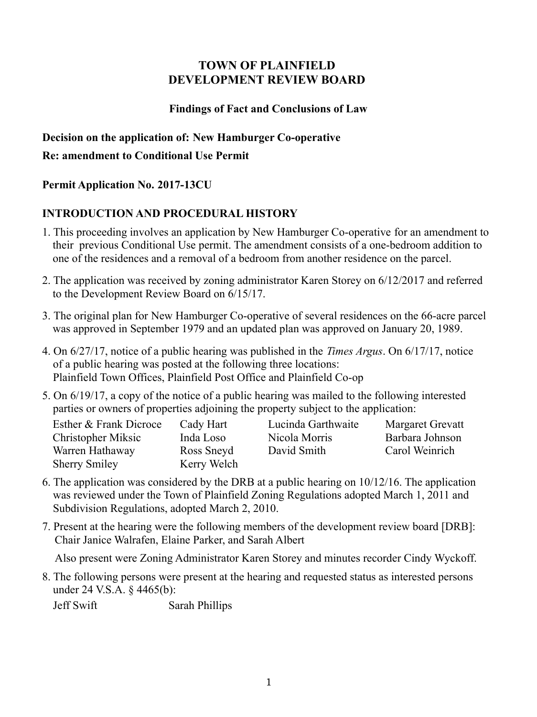## **TOWN OF PLAINFIELD DEVELOPMENT REVIEW BOARD**

#### **Findings of Fact and Conclusions of Law**

#### **Decision on the application of: New Hamburger Co-operative**

#### **Re: amendment to Conditional Use Permit**

## **Permit Application No. 2017-13CU**

# **INTRODUCTION AND PROCEDURAL HISTORY**

- 1. This proceeding involves an application by New Hamburger Co-operative for an amendment to their previous Conditional Use permit. The amendment consists of a one-bedroom addition to one of the residences and a removal of a bedroom from another residence on the parcel.
- 2. The application was received by zoning administrator Karen Storey on 6/12/2017 and referred to the Development Review Board on 6/15/17.
- 3. The original plan for New Hamburger Co-operative of several residences on the 66-acre parcel was approved in September 1979 and an updated plan was approved on January 20, 1989.
- 4. On 6/27/17, notice of a public hearing was published in the *Times Argus*. On 6/17/17, notice of a public hearing was posted at the following three locations: Plainfield Town Offices, Plainfield Post Office and Plainfield Co-op
- 5. On 6/19/17, a copy of the notice of a public hearing was mailed to the following interested parties or owners of properties adjoining the property subject to the application:

| Esther & Frank Dicroce | Cady Hart   | Lucinda Garthwaite | Margaret Grevatt |
|------------------------|-------------|--------------------|------------------|
| Christopher Miksic     | Inda Loso   | Nicola Morris      | Barbara Johnson  |
| Warren Hathaway        | Ross Sneyd  | David Smith        | Carol Weinrich   |
| <b>Sherry Smiley</b>   | Kerry Welch |                    |                  |
|                        |             |                    |                  |

- 6. The application was considered by the DRB at a public hearing on 10/12/16. The application was reviewed under the Town of Plainfield Zoning Regulations adopted March 1, 2011 and Subdivision Regulations, adopted March 2, 2010.
- 7. Present at the hearing were the following members of the development review board [DRB]: Chair Janice Walrafen, Elaine Parker, and Sarah Albert

Also present were Zoning Administrator Karen Storey and minutes recorder Cindy Wyckoff.

8. The following persons were present at the hearing and requested status as interested persons under 24 V.S.A. § 4465(b):

Jeff Swift Sarah Phillips